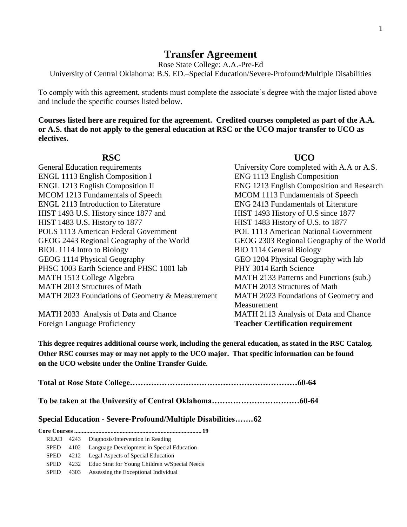## **Transfer Agreement**

Rose State College: A.A.-Pre-Ed

University of Central Oklahoma: B.S. ED.–Special Education/Severe-Profound/Multiple Disabilities

To comply with this agreement, students must complete the associate's degree with the major listed above and include the specific courses listed below.

**Courses listed here are required for the agreement. Credited courses completed as part of the A.A. or A.S. that do not apply to the general education at RSC or the UCO major transfer to UCO as electives.**

| <b>General Education requirements</b>          |
|------------------------------------------------|
| <b>ENGL 1113 English Composition I</b>         |
| <b>ENGL 1213 English Composition II</b>        |
| MCOM 1213 Fundamentals of Speech               |
| <b>ENGL 2113 Introduction to Literature</b>    |
| HIST 1493 U.S. History since 1877 and          |
| HIST 1483 U.S. History to 1877                 |
| <b>POLS 1113 American Federal Government</b>   |
| GEOG 2443 Regional Geography of the World      |
| BIOL 1114 Intro to Biology                     |
| GEOG 1114 Physical Geography                   |
| PHSC 1003 Earth Science and PHSC 1001 lab      |
| MATH 1513 College Algebra                      |
| MATH 2013 Structures of Math                   |
| MATH 2023 Foundations of Geometry & Measuremer |
|                                                |

Foreign Language Proficiency **Teacher Certification requirement**

**RSC UCO** 

University Core completed with A.A or A.S. ENG 1113 English Composition ENG 1213 English Composition and Research MCOM 1113 Fundamentals of Speech ENG 2413 Fundamentals of Literature HIST 1493 History of U.S since 1877 HIST 1483 History of U.S. to 1877 POL 1113 American National Government GEOG 2303 Regional Geography of the World BIO 1114 General Biology GEO 1204 Physical Geography with lab PHY 3014 Earth Science MATH 2133 Patterns and Functions (sub.) MATH 2013 Structures of Math nt MATH 2023 Foundations of Geometry and Measurement MATH 2033 Analysis of Data and Chance MATH 2113 Analysis of Data and Chance

**This degree requires additional course work, including the general education, as stated in the RSC Catalog. Other RSC courses may or may not apply to the UCO major. That specific information can be found on the UCO website under the Online Transfer Guide.**

|--|--|

**To be taken at the University of Central Oklahoma……………………………60-64**

## **Special Education - Severe-Profound/Multiple Disabilities…….62**

| READ 4243   |  | Diagnosis/Intervention in Reading                  |  |  |  |
|-------------|--|----------------------------------------------------|--|--|--|
| <b>SPED</b> |  | 4102 Language Development in Special Education     |  |  |  |
| <b>SPED</b> |  | 4212 Legal Aspects of Special Education            |  |  |  |
| <b>SPED</b> |  | 4232 Educ Strat for Young Children w/Special Needs |  |  |  |
| <b>SPED</b> |  | 4303 Assessing the Exceptional Individual          |  |  |  |